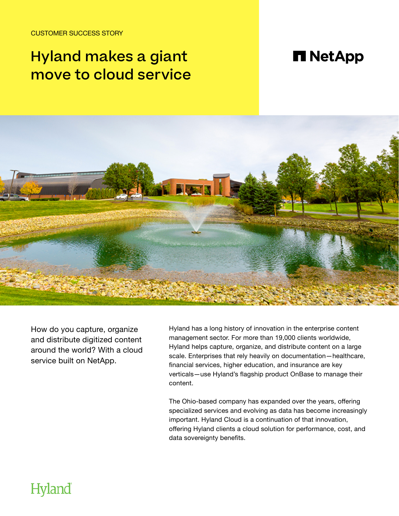CUSTOMER SUCCESS STORY

# Hyland makes a giant move to cloud service

## **n** NetApp



How do you capture, organize and distribute digitized content around the world? With a cloud service built on NetApp.

Hyland has a long history of innovation in the enterprise content management sector. For more than 19,000 clients worldwide, Hyland helps capture, organize, and distribute content on a large scale. Enterprises that rely heavily on documentation—healthcare, financial services, higher education, and insurance are key verticals—use Hyland's flagship product OnBase to manage their content.

The Ohio-based company has expanded over the years, offering specialized services and evolving as data has become increasingly important. Hyland Cloud is a continuation of that innovation, offering Hyland clients a cloud solution for performance, cost, and data sovereignty benefits.

## **Hyland**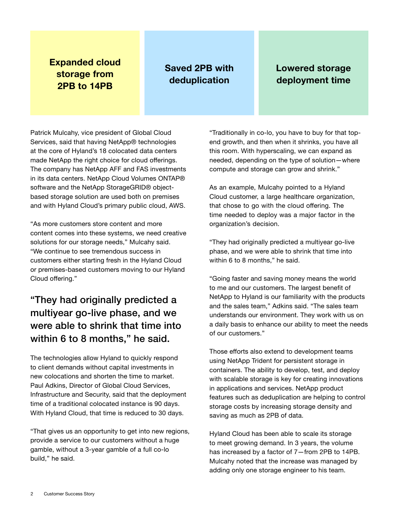#### **Expanded cloud storage from 2PB to 14PB**

### **Saved 2PB with deduplication**

### **Lowered storage deployment time**

Patrick Mulcahy, vice president of Global Cloud Services, said that having NetApp® technologies at the core of Hyland's 18 colocated data centers made NetApp the right choice for cloud offerings. The company has NetApp AFF and FAS investments in its data centers. NetApp Cloud Volumes ONTAP® software and the NetApp StorageGRID® objectbased storage solution are used both on premises and with Hyland Cloud's primary public cloud, AWS.

"As more customers store content and more content comes into these systems, we need creative solutions for our storage needs," Mulcahy said. "We continue to see tremendous success in customers either starting fresh in the Hyland Cloud or premises-based customers moving to our Hyland Cloud offering."

### "They had originally predicted a multiyear go-live phase, and we were able to shrink that time into within 6 to 8 months," he said.

The technologies allow Hyland to quickly respond to client demands without capital investments in new colocations and shorten the time to market. Paul Adkins, Director of Global Cloud Services, Infrastructure and Security, said that the deployment time of a traditional colocated instance is 90 days. With Hyland Cloud, that time is reduced to 30 days.

"That gives us an opportunity to get into new regions, provide a service to our customers without a huge gamble, without a 3-year gamble of a full co-lo build," he said.

"Traditionally in co-lo, you have to buy for that topend growth, and then when it shrinks, you have all this room. With hyperscaling, we can expand as needed, depending on the type of solution—where compute and storage can grow and shrink."

As an example, Mulcahy pointed to a Hyland Cloud customer, a large healthcare organization, that chose to go with the cloud offering. The time needed to deploy was a major factor in the organization's decision.

"They had originally predicted a multiyear go-live phase, and we were able to shrink that time into within 6 to 8 months," he said.

"Going faster and saving money means the world to me and our customers. The largest benefit of NetApp to Hyland is our familiarity with the products and the sales team," Adkins said. "The sales team understands our environment. They work with us on a daily basis to enhance our ability to meet the needs of our customers."

Those efforts also extend to development teams using NetApp Trident for persistent storage in containers. The ability to develop, test, and deploy with scalable storage is key for creating innovations in applications and services. NetApp product features such as deduplication are helping to control storage costs by increasing storage density and saving as much as 2PB of data.

Hyland Cloud has been able to scale its storage to meet growing demand. In 3 years, the volume has increased by a factor of 7—from 2PB to 14PB. Mulcahy noted that the increase was managed by adding only one storage engineer to his team.